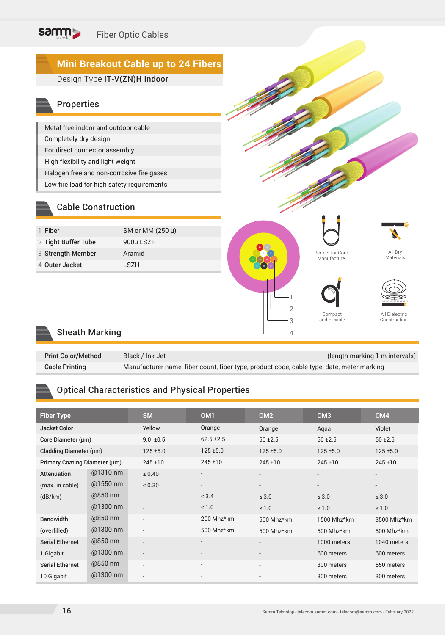

#### Sheath Marking

| <b>Print Color/Method</b> | Black / Ink-Jet                                                                           | (length marking 1 m intervals) |
|---------------------------|-------------------------------------------------------------------------------------------|--------------------------------|
| <b>Cable Printing</b>     | Manufacturer name, fiber count, fiber type, product code, cable type, date, meter marking |                                |

#### Optical Characteristics and Physical Properties

| <b>Fiber Type</b>             |            | <b>SM</b>                | OM <sub>1</sub>          | OM <sub>2</sub>          | OM <sub>3</sub> | OM <sub>4</sub>          |
|-------------------------------|------------|--------------------------|--------------------------|--------------------------|-----------------|--------------------------|
| <b>Jacket Color</b>           |            | Yellow                   | Orange                   | Orange                   | Aqua            | Violet                   |
| Core Diameter (µm)            |            | $9.0 \pm 0.5$            | $62.5 \pm 2.5$           | $50 + 2.5$               | $50 \pm 2.5$    |                          |
| Cladding Diameter (µm)        |            | $125 \pm 5.0$            | $125 \pm 5.0$            | $125 \pm 5.0$            | $125 + 5.0$     |                          |
| Primary Coating Diameter (µm) |            | $245 \pm 10$             | $245 \pm 10$             | $245 \pm 10$             | $245 \pm 10$    | 245±10                   |
| Attenuation                   | $@1310$ nm | $\leq 0.40$              | $\overline{\phantom{a}}$ |                          |                 | $\overline{\phantom{a}}$ |
| (max. in cable)               | @1550 nm   | $\leq 0.30$              | $\overline{\phantom{a}}$ | $\overline{\phantom{a}}$ |                 | $\overline{\phantom{a}}$ |
| (dB/km)                       | $@850$ nm  | $\overline{\phantom{0}}$ | $\leq 3.4$               | $\leq 3.0$               | $\leq 3.0$      | $\leq 3.0$               |
|                               | @1300 nm   | $\overline{\phantom{a}}$ | $\leq 1.0$               | $\leq 1.0$               | $\leq 1.0$      | $\leq 1.0$               |
| <b>Bandwidth</b>              | $@850$ nm  |                          | 200 Mhz*km               | 500 Mhz*km               | 1500 Mhz*km     | 3500 Mhz*km              |
| (overfilled)                  | @1300 nm   | $\overline{\phantom{0}}$ | 500 Mhz*km               | 500 Mhz*km               | 500 Mhz*km      | 500 Mhz*km               |
| <b>Serial Ethernet</b>        | $@850$ nm  | $\overline{\phantom{a}}$ | $\overline{\phantom{a}}$ | $\overline{\phantom{a}}$ | 1000 meters     | 1040 meters              |
| 1 Gigabit                     | @1300 nm   | $\overline{\phantom{a}}$ |                          |                          | 600 meters      | 600 meters               |
| <b>Serial Ethernet</b>        | $@850$ nm  | $\overline{\phantom{0}}$ | $\overline{\phantom{a}}$ | $\overline{\phantom{0}}$ | 300 meters      | 550 meters               |
| 10 Gigabit                    | @1300 nm   |                          |                          |                          | 300 meters      | 300 meters               |